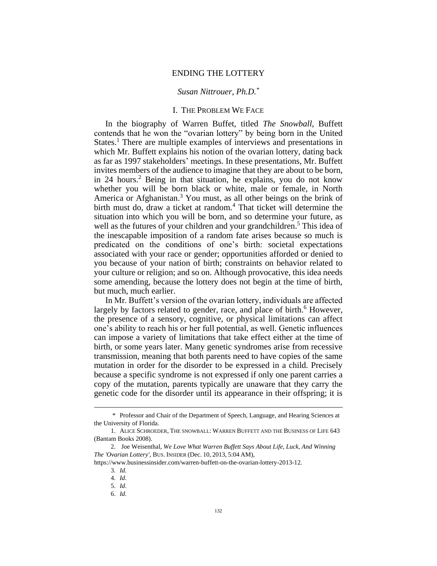### ENDING THE LOTTERY

## *Susan Nittrouer, Ph.D.\**

# I. THE PROBLEM WE FACE

In the biography of Warren Buffet, titled *The Snowball*, Buffett contends that he won the "ovarian lottery" by being born in the United States.<sup>1</sup> There are multiple examples of interviews and presentations in which Mr. Buffett explains his notion of the ovarian lottery, dating back as far as 1997 stakeholders' meetings. In these presentations, Mr. Buffett invites members of the audience to imagine that they are about to be born, in 24 hours.<sup>2</sup> Being in that situation, he explains, you do not know whether you will be born black or white, male or female, in North America or Afghanistan. <sup>3</sup> You must, as all other beings on the brink of birth must do, draw a ticket at random.<sup>4</sup> That ticket will determine the situation into which you will be born, and so determine your future, as well as the futures of your children and your grandchildren.<sup>5</sup> This idea of the inescapable imposition of a random fate arises because so much is predicated on the conditions of one's birth: societal expectations associated with your race or gender; opportunities afforded or denied to you because of your nation of birth; constraints on behavior related to your culture or religion; and so on. Although provocative, this idea needs some amending, because the lottery does not begin at the time of birth, but much, much earlier.

In Mr. Buffett's version of the ovarian lottery, individuals are affected largely by factors related to gender, race, and place of birth.<sup>6</sup> However, the presence of a sensory, cognitive, or physical limitations can affect one's ability to reach his or her full potential, as well. Genetic influences can impose a variety of limitations that take effect either at the time of birth, or some years later. Many genetic syndromes arise from recessive transmission, meaning that both parents need to have copies of the same mutation in order for the disorder to be expressed in a child. Precisely because a specific syndrome is not expressed if only one parent carries a copy of the mutation, parents typically are unaware that they carry the genetic code for the disorder until its appearance in their offspring; it is

<sup>\*</sup> Professor and Chair of the Department of Speech, Language, and Hearing Sciences at the University of Florida.

<sup>1.</sup> ALICE SCHROEDER, THE SNOWBALL: WARREN BUFFETT AND THE BUSINESS OF LIFE 643 (Bantam Books 2008).

<sup>2.</sup> Joe Weisenthal, *We Love What Warren Buffett Says About Life, Luck, And Winning The 'Ovarian Lottery'*, BUS. INSIDER (Dec. 10, 2013, 5:04 AM),

https://www.businessinsider.com/warren-buffett-on-the-ovarian-lottery-2013-12.

<sup>3.</sup> *Id*.

<sup>4.</sup> *Id*.

<sup>5.</sup> *Id*.

<sup>6.</sup> *Id*.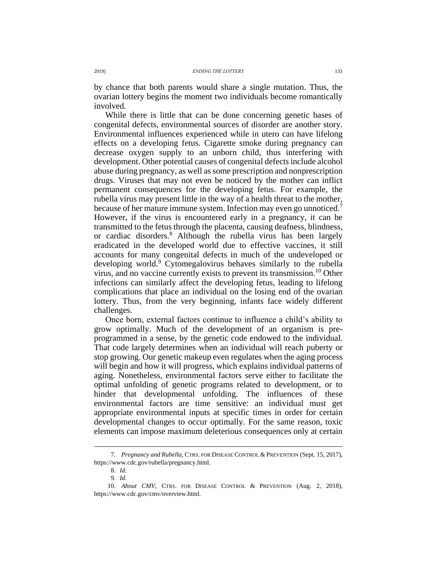by chance that both parents would share a single mutation. Thus, the ovarian lottery begins the moment two individuals become romantically involved.

While there is little that can be done concerning genetic bases of congenital defects, environmental sources of disorder are another story. Environmental influences experienced while in utero can have lifelong effects on a developing fetus. Cigarette smoke during pregnancy can decrease oxygen supply to an unborn child, thus interfering with development. Other potential causes of congenital defects include alcohol abuse during pregnancy, as well as some prescription and nonprescription drugs. Viruses that may not even be noticed by the mother can inflict permanent consequences for the developing fetus. For example, the rubella virus may present little in the way of a health threat to the mother, because of her mature immune system. Infection may even go unnoticed.<sup>7</sup> However, if the virus is encountered early in a pregnancy, it can be transmitted to the fetus through the placenta, causing deafness, blindness, or cardiac disorders.<sup>8</sup> Although the rubella virus has been largely eradicated in the developed world due to effective vaccines, it still accounts for many congenital defects in much of the undeveloped or developing world.<sup>9</sup> Cytomegalovirus behaves similarly to the rubella virus, and no vaccine currently exists to prevent its transmission.<sup>10</sup> Other infections can similarly affect the developing fetus, leading to lifelong complications that place an individual on the losing end of the ovarian lottery. Thus, from the very beginning, infants face widely different challenges.

Once born, external factors continue to influence a child's ability to grow optimally. Much of the development of an organism is preprogrammed in a sense, by the genetic code endowed to the individual. That code largely determines when an individual will reach puberty or stop growing. Our genetic makeup even regulates when the aging process will begin and how it will progress, which explains individual patterns of aging. Nonetheless, environmental factors serve either to facilitate the optimal unfolding of genetic programs related to development, or to hinder that developmental unfolding. The influences of these environmental factors are time sensitive: an individual must get appropriate environmental inputs at specific times in order for certain developmental changes to occur optimally. For the same reason, toxic elements can impose maximum deleterious consequences only at certain

<sup>7.</sup> *Pregnancy and Rubella*, CTRS. FOR DISEASE CONTROL & PREVENTION (Sept. 15, 2017), https://www.cdc.gov/rubella/pregnancy.html.

<sup>8.</sup> *Id*.

<sup>9.</sup> *Id*.

<sup>10.</sup> *About CMV*, CTRS. FOR DISEASE CONTROL & PREVENTION (Aug. 2, 2018), https://www.cdc.gov/cmv/overview.html.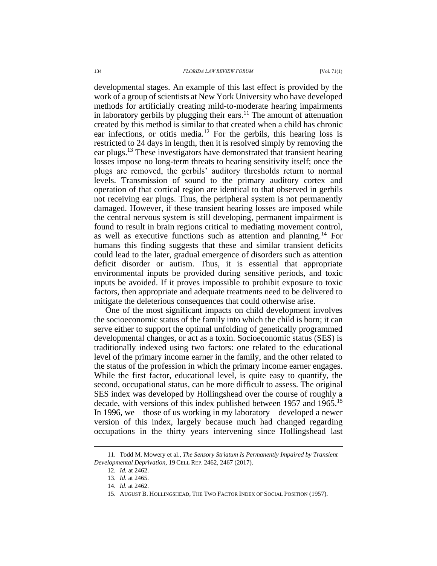developmental stages. An example of this last effect is provided by the work of a group of scientists at New York University who have developed methods for artificially creating mild-to-moderate hearing impairments in laboratory gerbils by plugging their ears.<sup>11</sup> The amount of attenuation created by this method is similar to that created when a child has chronic ear infections, or otitis media.<sup>12</sup> For the gerbils, this hearing loss is restricted to 24 days in length, then it is resolved simply by removing the ear plugs.<sup>13</sup> These investigators have demonstrated that transient hearing losses impose no long-term threats to hearing sensitivity itself; once the plugs are removed, the gerbils' auditory thresholds return to normal levels. Transmission of sound to the primary auditory cortex and operation of that cortical region are identical to that observed in gerbils not receiving ear plugs. Thus, the peripheral system is not permanently damaged. However, if these transient hearing losses are imposed while the central nervous system is still developing, permanent impairment is found to result in brain regions critical to mediating movement control, as well as executive functions such as attention and planning.<sup>14</sup> For humans this finding suggests that these and similar transient deficits could lead to the later, gradual emergence of disorders such as attention deficit disorder or autism. Thus, it is essential that appropriate environmental inputs be provided during sensitive periods, and toxic inputs be avoided. If it proves impossible to prohibit exposure to toxic factors, then appropriate and adequate treatments need to be delivered to mitigate the deleterious consequences that could otherwise arise.

One of the most significant impacts on child development involves the socioeconomic status of the family into which the child is born; it can serve either to support the optimal unfolding of genetically programmed developmental changes, or act as a toxin. Socioeconomic status (SES) is traditionally indexed using two factors: one related to the educational level of the primary income earner in the family, and the other related to the status of the profession in which the primary income earner engages. While the first factor, educational level, is quite easy to quantify, the second, occupational status, can be more difficult to assess. The original SES index was developed by Hollingshead over the course of roughly a decade, with versions of this index published between 1957 and 1965.<sup>15</sup> In 1996, we—those of us working in my laboratory—developed a newer version of this index, largely because much had changed regarding occupations in the thirty years intervening since Hollingshead last

<sup>11.</sup> Todd M. Mowery et al., *The Sensory Striatum Is Permanently Impaired by Transient Developmental Deprivation*, 19 CELL REP. 2462, 2467 (2017).

<sup>12.</sup> *Id.* at 2462.

<sup>13.</sup> *Id*. at 2465.

<sup>14.</sup> *Id*. at 2462.

<sup>15.</sup> AUGUST B. HOLLINGSHEAD, THE TWO FACTOR INDEX OF SOCIAL POSITION (1957).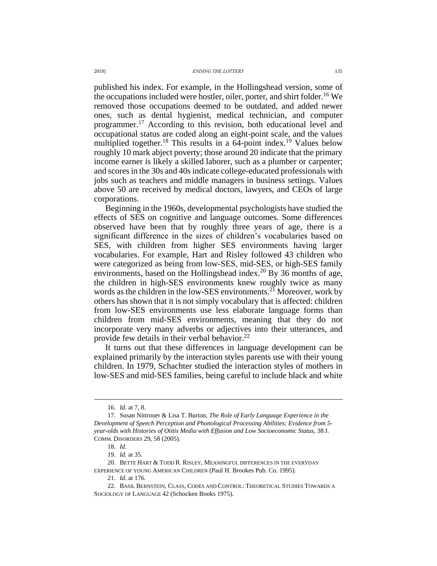#### 2019] *ENDING THE LOTTERY* 135

published his index. For example, in the Hollingshead version, some of the occupations included were hostler, oiler, porter, and shirt folder.<sup>16</sup> We removed those occupations deemed to be outdated, and added newer ones, such as dental hygienist, medical technician, and computer programmer.<sup>17</sup> According to this revision, both educational level and occupational status are coded along an eight-point scale, and the values multiplied together.<sup>18</sup> This results in a  $64$ -point index.<sup>19</sup> Values below roughly 10 mark abject poverty; those around 20 indicate that the primary income earner is likely a skilled laborer, such as a plumber or carpenter; and scores in the 30s and 40s indicate college-educated professionals with jobs such as teachers and middle managers in business settings. Values above 50 are received by medical doctors, lawyers, and CEOs of large corporations.

Beginning in the 1960s, developmental psychologists have studied the effects of SES on cognitive and language outcomes. Some differences observed have been that by roughly three years of age, there is a significant difference in the sizes of children's vocabularies based on SES, with children from higher SES environments having larger vocabularies. For example, Hart and Risley followed 43 children who were categorized as being from low-SES, mid-SES, or high-SES family environments, based on the Hollingshead index.<sup>20</sup> By 36 months of age, the children in high-SES environments knew roughly twice as many words as the children in the low-SES environments.<sup>21</sup> Moreover, work by others has shown that it is not simply vocabulary that is affected: children from low-SES environments use less elaborate language forms than children from mid-SES environments, meaning that they do not incorporate very many adverbs or adjectives into their utterances, and provide few details in their verbal behavior. $^{22}$ 

It turns out that these differences in language development can be explained primarily by the interaction styles parents use with their young children. In 1979, Schachter studied the interaction styles of mothers in low-SES and mid-SES families, being careful to include black and white

<sup>16.</sup> *Id*. at 7, 8.

<sup>17.</sup> Susan Nittrouer & Lisa T. Burton, *The Role of Early Language Experience in the Development of Speech Perception and Phonological Processing Abilities: Evidence from 5 year-olds with Histories of Otitis Media with Effusion and Low Socioeconomic Status*, 38 J. COMM. DISORDERS 29, 58 (2005).

<sup>18.</sup> *Id.*

<sup>19.</sup> *Id.* at 35.

<sup>20.</sup> BETTE HART & TODD R. RISLEY, MEANINGFUL DIFFERENCES IN THE EVERYDAY EXPERIENCE OF YOUNG AMERICAN CHILDREN (Paul H. Brookes Pub. Co. 1995).

<sup>21.</sup> *Id*. at 176.

<sup>22.</sup> BASIL BERNSTEIN, CLASS, CODES AND CONTROL: THEORETICAL STUDIES TOWARDS A SOCIOLOGY OF LANGUAGE 42 (Schocken Books 1975).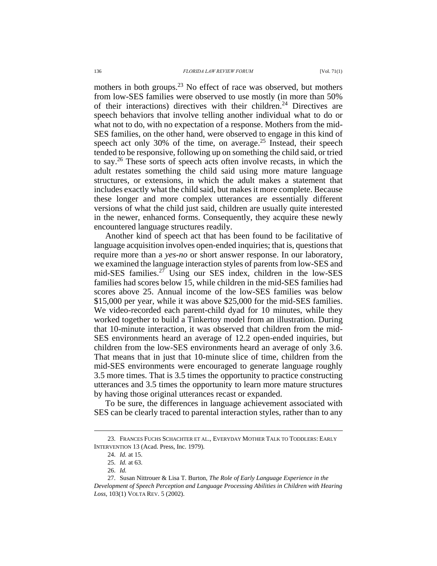mothers in both groups.<sup>23</sup> No effect of race was observed, but mothers from low-SES families were observed to use mostly (in more than 50% of their interactions) directives with their children.<sup>24</sup> Directives are speech behaviors that involve telling another individual what to do or what not to do, with no expectation of a response. Mothers from the mid-SES families, on the other hand, were observed to engage in this kind of speech act only 30% of the time, on average.<sup>25</sup> Instead, their speech tended to be responsive, following up on something the child said, or tried to say.<sup>26</sup> These sorts of speech acts often involve recasts, in which the adult restates something the child said using more mature language structures, or extensions, in which the adult makes a statement that includes exactly what the child said, but makes it more complete. Because these longer and more complex utterances are essentially different versions of what the child just said, children are usually quite interested in the newer, enhanced forms. Consequently, they acquire these newly encountered language structures readily.

Another kind of speech act that has been found to be facilitative of language acquisition involves open-ended inquiries; that is, questions that require more than a *yes*-*no* or short answer response. In our laboratory, we examined the language interaction styles of parents from low-SES and mid-SES families.<sup>27</sup> Using our SES index, children in the low-SES families had scores below 15, while children in the mid-SES families had scores above 25. Annual income of the low-SES families was below \$15,000 per year, while it was above \$25,000 for the mid-SES families. We video-recorded each parent-child dyad for 10 minutes, while they worked together to build a Tinkertoy model from an illustration. During that 10-minute interaction, it was observed that children from the mid-SES environments heard an average of 12.2 open-ended inquiries, but children from the low-SES environments heard an average of only 3.6. That means that in just that 10-minute slice of time, children from the mid-SES environments were encouraged to generate language roughly 3.5 more times. That is 3.5 times the opportunity to practice constructing utterances and 3.5 times the opportunity to learn more mature structures by having those original utterances recast or expanded.

To be sure, the differences in language achievement associated with SES can be clearly traced to parental interaction styles, rather than to any

<sup>23.</sup> FRANCES FUCHS SCHACHTER ET AL., EVERYDAY MOTHER TALK TO TODDLERS: EARLY INTERVENTION 13 (Acad. Press, Inc. 1979).

<sup>24.</sup> *Id.* at 15.

<sup>25.</sup> *Id.* at 63.

<sup>26.</sup> *Id.*

<sup>27.</sup> Susan Nittrouer & Lisa T. Burton, *The Role of Early Language Experience in the Development of Speech Perception and Language Processing Abilities in Children with Hearing Loss,* 103(1) VOLTA REV. 5 (2002).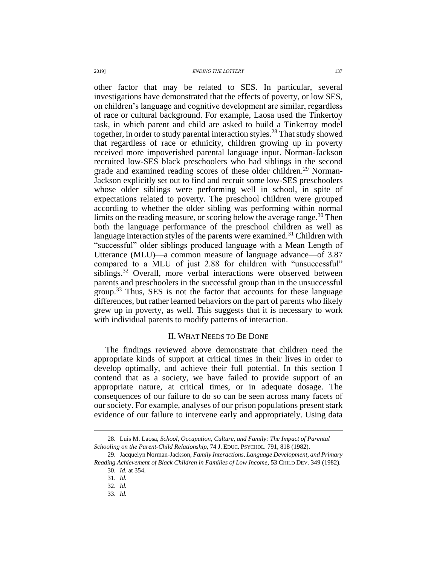other factor that may be related to SES. In particular, several investigations have demonstrated that the effects of poverty, or low SES, on children's language and cognitive development are similar, regardless of race or cultural background. For example, Laosa used the Tinkertoy task, in which parent and child are asked to build a Tinkertoy model together, in order to study parental interaction styles.<sup>28</sup> That study showed that regardless of race or ethnicity, children growing up in poverty received more impoverished parental language input. Norman-Jackson recruited low-SES black preschoolers who had siblings in the second grade and examined reading scores of these older children.<sup>29</sup> Norman-Jackson explicitly set out to find and recruit some low-SES preschoolers whose older siblings were performing well in school, in spite of expectations related to poverty. The preschool children were grouped according to whether the older sibling was performing within normal limits on the reading measure, or scoring below the average range.<sup>30</sup> Then both the language performance of the preschool children as well as language interaction styles of the parents were examined.<sup>31</sup> Children with "successful" older siblings produced language with a Mean Length of Utterance (MLU)—a common measure of language advance—of 3.87 compared to a MLU of just 2.88 for children with "unsuccessful" siblings.<sup>32</sup> Overall, more verbal interactions were observed between parents and preschoolers in the successful group than in the unsuccessful group.<sup>33</sup> Thus, SES is not the factor that accounts for these language differences, but rather learned behaviors on the part of parents who likely grew up in poverty, as well. This suggests that it is necessary to work with individual parents to modify patterns of interaction.

### II. WHAT NEEDS TO BE DONE

The findings reviewed above demonstrate that children need the appropriate kinds of support at critical times in their lives in order to develop optimally, and achieve their full potential. In this section I contend that as a society, we have failed to provide support of an appropriate nature, at critical times, or in adequate dosage. The consequences of our failure to do so can be seen across many facets of our society. For example, analyses of our prison populations present stark evidence of our failure to intervene early and appropriately. Using data

<sup>28.</sup> Luis M. Laosa, *School, Occupation, Culture, and Family: The Impact of Parental Schooling on the Parent-Child Relationship,* 74 J. EDUC. PSYCHOL. 791, 818 (1982).

<sup>29.</sup> Jacquelyn Norman-Jackson, *Family Interactions, Language Development, and Primary Reading Achievement of Black Children in Families of Low Income*, 53 CHILD DEV. 349 (1982).

<sup>30.</sup> *Id*. at 354.

<sup>31.</sup> *Id.*

<sup>32.</sup> *Id.*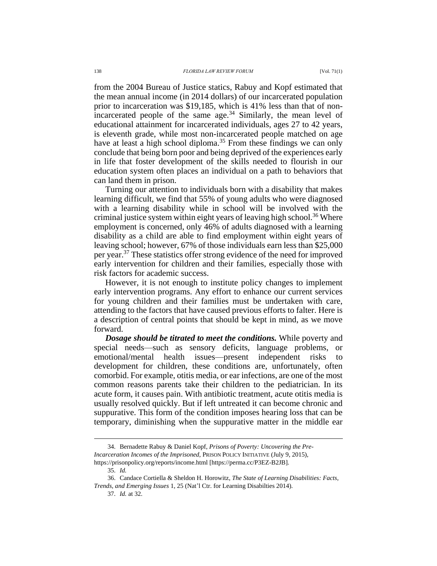from the 2004 Bureau of Justice statics, Rabuy and Kopf estimated that the mean annual income (in 2014 dollars) of our incarcerated population prior to incarceration was \$19,185, which is 41% less than that of nonincarcerated people of the same age. $34$  Similarly, the mean level of educational attainment for incarcerated individuals, ages 27 to 42 years, is eleventh grade, while most non-incarcerated people matched on age have at least a high school diploma.<sup>35</sup> From these findings we can only conclude that being born poor and being deprived of the experiences early in life that foster development of the skills needed to flourish in our education system often places an individual on a path to behaviors that can land them in prison.

Turning our attention to individuals born with a disability that makes learning difficult, we find that 55% of young adults who were diagnosed with a learning disability while in school will be involved with the criminal justice system within eight years of leaving high school.<sup>36</sup> Where employment is concerned, only 46% of adults diagnosed with a learning disability as a child are able to find employment within eight years of leaving school; however, 67% of those individuals earn less than \$25,000 per year.<sup>37</sup> These statistics offer strong evidence of the need for improved early intervention for children and their families, especially those with risk factors for academic success.

However, it is not enough to institute policy changes to implement early intervention programs. Any effort to enhance our current services for young children and their families must be undertaken with care, attending to the factors that have caused previous efforts to falter. Here is a description of central points that should be kept in mind, as we move forward.

*Dosage should be titrated to meet the conditions.* While poverty and special needs—such as sensory deficits, language problems, or emotional/mental health issues—present independent risks to development for children, these conditions are, unfortunately, often comorbid. For example, otitis media, or ear infections, are one of the most common reasons parents take their children to the pediatrician. In its acute form, it causes pain. With antibiotic treatment, acute otitis media is usually resolved quickly. But if left untreated it can become chronic and suppurative. This form of the condition imposes hearing loss that can be temporary, diminishing when the suppurative matter in the middle ear

<sup>34.</sup> Bernadette Rabuy & Daniel Kopf, *Prisons of Poverty: Uncovering the Pre-Incarceration Incomes of the Imprisoned*, PRISON POLICY INITIATIVE (July 9, 2015), https://prisonpolicy.org/reports/income.html [https://perma.cc/P3EZ-B2JB].

<sup>35.</sup> *Id.*

<sup>36.</sup> Candace Cortiella & Sheldon H. Horowitz, *The State of Learning Disabilities: Facts, Trends, and Emerging Issues* 1, 25 (Nat'l Ctr. for Learning Disabilties 2014).

<sup>37.</sup> *Id.* at 32.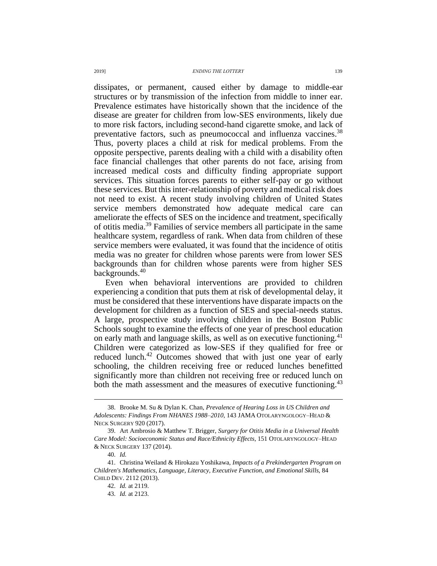dissipates, or permanent, caused either by damage to middle-ear structures or by transmission of the infection from middle to inner ear. Prevalence estimates have historically shown that the incidence of the disease are greater for children from low-SES environments, likely due to more risk factors, including second-hand cigarette smoke, and lack of preventative factors, such as pneumococcal and influenza vaccines.<sup>38</sup> Thus, poverty places a child at risk for medical problems. From the opposite perspective, parents dealing with a child with a disability often face financial challenges that other parents do not face, arising from increased medical costs and difficulty finding appropriate support services. This situation forces parents to either self-pay or go without these services. But this inter-relationship of poverty and medical risk does not need to exist. A recent study involving children of United States service members demonstrated how adequate medical care can ameliorate the effects of SES on the incidence and treatment, specifically of otitis media.<sup>39</sup> Families of service members all participate in the same healthcare system, regardless of rank. When data from children of these service members were evaluated, it was found that the incidence of otitis media was no greater for children whose parents were from lower SES backgrounds than for children whose parents were from higher SES backgrounds.<sup>40</sup>

Even when behavioral interventions are provided to children experiencing a condition that puts them at risk of developmental delay, it must be considered that these interventions have disparate impacts on the development for children as a function of SES and special-needs status. A large, prospective study involving children in the Boston Public Schools sought to examine the effects of one year of preschool education on early math and language skills, as well as on executive functioning.<sup>41</sup> Children were categorized as low-SES if they qualified for free or reduced lunch.<sup>42</sup> Outcomes showed that with just one year of early schooling, the children receiving free or reduced lunches benefitted significantly more than children not receiving free or reduced lunch on both the math assessment and the measures of executive functioning.<sup>43</sup>

<sup>38.</sup> Brooke M. Su & Dylan K. Chan, *Prevalence of Hearing Loss in US Children and Adolescents: Findings From NHANES 1988–2010*, 143 JAMA OTOLARYNGOLOGY–HEAD & NECK SURGERY 920 (2017).

<sup>39.</sup> Art Ambrosio & Matthew T. Brigger, *Surgery for Otitis Media in a Universal Health Care Model: Socioeconomic Status and Race/Ethnicity Effects*, 151 OTOLARYNGOLOGY–HEAD & NECK SURGERY 137 (2014).

<sup>40.</sup> *Id.*

<sup>41.</sup> Christina Weiland & Hirokazu Yoshikawa, *Impacts of a Prekindergarten Program on Children's Mathematics, Language, Literacy, Executive Function, and Emotional Skills*, 84 CHILD DEV. 2112 (2013).

<sup>42.</sup> *Id.* at 2119.

<sup>43.</sup> *Id.* at 2123.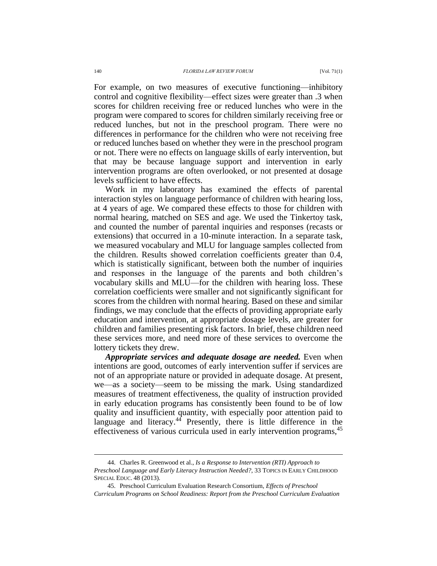For example, on two measures of executive functioning—inhibitory control and cognitive flexibility—effect sizes were greater than .3 when scores for children receiving free or reduced lunches who were in the program were compared to scores for children similarly receiving free or reduced lunches, but not in the preschool program. There were no differences in performance for the children who were not receiving free or reduced lunches based on whether they were in the preschool program or not. There were no effects on language skills of early intervention, but that may be because language support and intervention in early intervention programs are often overlooked, or not presented at dosage levels sufficient to have effects.

Work in my laboratory has examined the effects of parental interaction styles on language performance of children with hearing loss, at 4 years of age. We compared these effects to those for children with normal hearing, matched on SES and age. We used the Tinkertoy task, and counted the number of parental inquiries and responses (recasts or extensions) that occurred in a 10-minute interaction. In a separate task, we measured vocabulary and MLU for language samples collected from the children. Results showed correlation coefficients greater than 0.4, which is statistically significant, between both the number of inquiries and responses in the language of the parents and both children's vocabulary skills and MLU—for the children with hearing loss. These correlation coefficients were smaller and not significantly significant for scores from the children with normal hearing. Based on these and similar findings, we may conclude that the effects of providing appropriate early education and intervention, at appropriate dosage levels, are greater for children and families presenting risk factors. In brief, these children need these services more, and need more of these services to overcome the lottery tickets they drew.

*Appropriate services and adequate dosage are needed.* Even when intentions are good, outcomes of early intervention suffer if services are not of an appropriate nature or provided in adequate dosage. At present, we—as a society—seem to be missing the mark. Using standardized measures of treatment effectiveness, the quality of instruction provided in early education programs has consistently been found to be of low quality and insufficient quantity, with especially poor attention paid to language and literacy. $44$  Presently, there is little difference in the effectiveness of various curricula used in early intervention programs, 45

<sup>44.</sup> Charles R. Greenwood et al., *Is a Response to Intervention (RTI) Approach to Preschool Language and Early Literacy Instruction Needed?*, 33 TOPICS IN EARLY CHILDHOOD SPECIAL EDUC. 48 (2013).

<sup>45.</sup> Preschool Curriculum Evaluation Research Consortium, *Effects of Preschool Curriculum Programs on School Readiness: Report from the Preschool Curriculum Evaluation*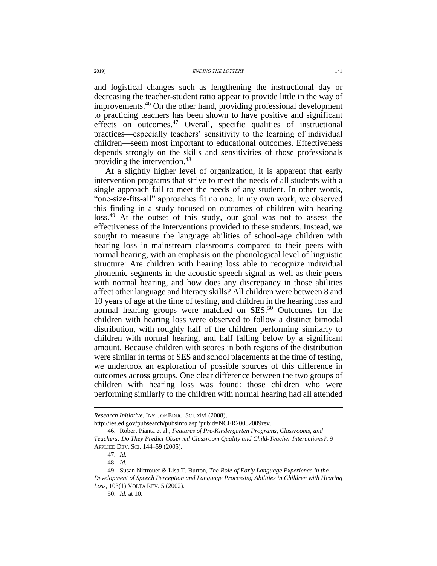and logistical changes such as lengthening the instructional day or decreasing the teacher-student ratio appear to provide little in the way of improvements.<sup>46</sup> On the other hand, providing professional development to practicing teachers has been shown to have positive and significant effects on outcomes. $47$  Overall, specific qualities of instructional practices—especially teachers' sensitivity to the learning of individual children—seem most important to educational outcomes. Effectiveness depends strongly on the skills and sensitivities of those professionals providing the intervention.<sup>48</sup>

At a slightly higher level of organization, it is apparent that early intervention programs that strive to meet the needs of all students with a single approach fail to meet the needs of any student. In other words, "one-size-fits-all" approaches fit no one. In my own work, we observed this finding in a study focused on outcomes of children with hearing loss.<sup>49</sup> At the outset of this study, our goal was not to assess the effectiveness of the interventions provided to these students. Instead, we sought to measure the language abilities of school-age children with hearing loss in mainstream classrooms compared to their peers with normal hearing, with an emphasis on the phonological level of linguistic structure: Are children with hearing loss able to recognize individual phonemic segments in the acoustic speech signal as well as their peers with normal hearing, and how does any discrepancy in those abilities affect other language and literacy skills? All children were between 8 and 10 years of age at the time of testing, and children in the hearing loss and normal hearing groups were matched on SES.<sup>50</sup> Outcomes for the children with hearing loss were observed to follow a distinct bimodal distribution, with roughly half of the children performing similarly to children with normal hearing, and half falling below by a significant amount. Because children with scores in both regions of the distribution were similar in terms of SES and school placements at the time of testing, we undertook an exploration of possible sources of this difference in outcomes across groups. One clear difference between the two groups of children with hearing loss was found: those children who were performing similarly to the children with normal hearing had all attended

http://ies.ed.gov/pubsearch/pubsinfo.asp?pubid=NCER20082009rev.

*Research Initiative*, INST. OF EDUC. SCI. xlvi (2008),

<sup>46.</sup> Robert Pianta et al., *Features of Pre-Kindergarten Programs, Classrooms, and Teachers: Do They Predict Observed Classroom Quality and Child-Teacher Interactions?*, 9 APPLIED DEV. SCI. 144–59 (2005).

<sup>47.</sup> *Id.*

<sup>48.</sup> *Id.*

<sup>49.</sup> Susan Nittrouer & Lisa T. Burton, *The Role of Early Language Experience in the Development of Speech Perception and Language Processing Abilities in Children with Hearing Loss*, 103(1) VOLTA REV. 5 (2002).

<sup>50.</sup> *Id.* at 10.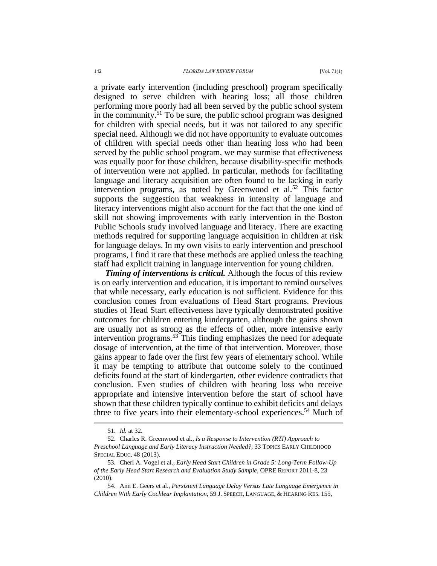a private early intervention (including preschool) program specifically designed to serve children with hearing loss; all those children performing more poorly had all been served by the public school system in the community.<sup>51</sup> To be sure, the public school program was designed for children with special needs, but it was not tailored to any specific special need. Although we did not have opportunity to evaluate outcomes of children with special needs other than hearing loss who had been served by the public school program, we may surmise that effectiveness was equally poor for those children, because disability-specific methods of intervention were not applied. In particular, methods for facilitating language and literacy acquisition are often found to be lacking in early intervention programs, as noted by Greenwood et al.<sup>52</sup> This factor supports the suggestion that weakness in intensity of language and literacy interventions might also account for the fact that the one kind of skill not showing improvements with early intervention in the Boston Public Schools study involved language and literacy. There are exacting methods required for supporting language acquisition in children at risk for language delays. In my own visits to early intervention and preschool programs, I find it rare that these methods are applied unless the teaching staff had explicit training in language intervention for young children.

*Timing of interventions is critical.* Although the focus of this review is on early intervention and education, it is important to remind ourselves that while necessary, early education is not sufficient. Evidence for this conclusion comes from evaluations of Head Start programs. Previous studies of Head Start effectiveness have typically demonstrated positive outcomes for children entering kindergarten, although the gains shown are usually not as strong as the effects of other, more intensive early intervention programs.<sup>53</sup> This finding emphasizes the need for adequate dosage of intervention, at the time of that intervention. Moreover, those gains appear to fade over the first few years of elementary school. While it may be tempting to attribute that outcome solely to the continued deficits found at the start of kindergarten, other evidence contradicts that conclusion. Even studies of children with hearing loss who receive appropriate and intensive intervention before the start of school have shown that these children typically continue to exhibit deficits and delays three to five years into their elementary-school experiences.<sup>54</sup> Much of

<sup>51.</sup> *Id.* at 32.

<sup>52.</sup> Charles R. Greenwood et al., *Is a Response to Intervention (RTI) Approach to Preschool Language and Early Literacy Instruction Needed?*, 33 TOPICS EARLY CHILDHOOD SPECIAL EDUC. 48 (2013).

<sup>53.</sup> Cheri A. Vogel et al., *Early Head Start Children in Grade 5: Long-Term Follow-Up of the Early Head Start Research and Evaluation Study Sample*, OPRE REPORT 2011-8, 23 (2010).

<sup>54.</sup> Ann E. Geers et al., *Persistent Language Delay Versus Late Language Emergence in Children With Early Cochlear Implantation*, 59 J. SPEECH, LANGUAGE, & HEARING RES. 155,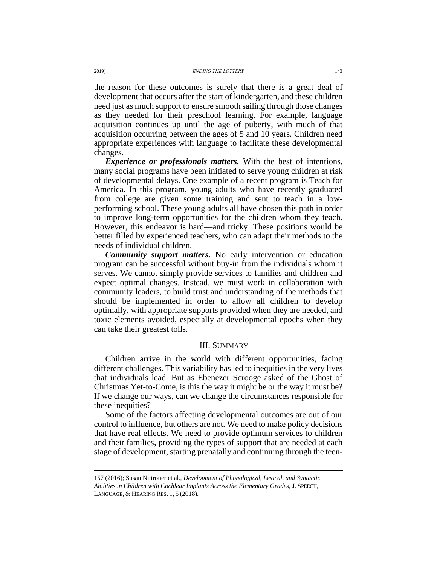the reason for these outcomes is surely that there is a great deal of development that occurs after the start of kindergarten, and these children need just as much support to ensure smooth sailing through those changes as they needed for their preschool learning. For example, language acquisition continues up until the age of puberty, with much of that acquisition occurring between the ages of 5 and 10 years. Children need appropriate experiences with language to facilitate these developmental changes.

*Experience or professionals matters.* With the best of intentions, many social programs have been initiated to serve young children at risk of developmental delays. One example of a recent program is Teach for America. In this program, young adults who have recently graduated from college are given some training and sent to teach in a lowperforming school. These young adults all have chosen this path in order to improve long-term opportunities for the children whom they teach. However, this endeavor is hard—and tricky. These positions would be better filled by experienced teachers, who can adapt their methods to the needs of individual children.

*Community support matters.* No early intervention or education program can be successful without buy-in from the individuals whom it serves. We cannot simply provide services to families and children and expect optimal changes. Instead, we must work in collaboration with community leaders, to build trust and understanding of the methods that should be implemented in order to allow all children to develop optimally, with appropriate supports provided when they are needed, and toxic elements avoided, especially at developmental epochs when they can take their greatest tolls.

# III. SUMMARY

Children arrive in the world with different opportunities, facing different challenges. This variability has led to inequities in the very lives that individuals lead. But as Ebenezer Scrooge asked of the Ghost of Christmas Yet-to-Come, is this the way it might be or the way it must be? If we change our ways, can we change the circumstances responsible for these inequities?

Some of the factors affecting developmental outcomes are out of our control to influence, but others are not. We need to make policy decisions that have real effects. We need to provide optimum services to children and their families, providing the types of support that are needed at each stage of development, starting prenatally and continuing through the teen-

<sup>157</sup> (2016); Susan Nittrouer et al., *Development of Phonological, Lexical, and Syntactic Abilities in Children with Cochlear Implants Across the Elementary Grades*, J. SPEECH, LANGUAGE, & HEARING RES. 1, 5 (2018).